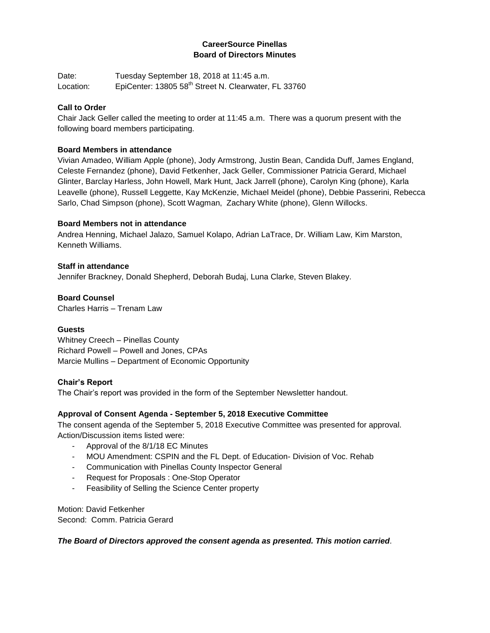## **CareerSource Pinellas Board of Directors Minutes**

Date: Tuesday September 18, 2018 at 11:45 a.m. Location: EpiCenter: 13805 58<sup>th</sup> Street N. Clearwater, FL 33760

## **Call to Order**

Chair Jack Geller called the meeting to order at 11:45 a.m. There was a quorum present with the following board members participating.

## **Board Members in attendance**

Vivian Amadeo, William Apple (phone), Jody Armstrong, Justin Bean, Candida Duff, James England, Celeste Fernandez (phone), David Fetkenher, Jack Geller, Commissioner Patricia Gerard, Michael Glinter, Barclay Harless, John Howell, Mark Hunt, Jack Jarrell (phone), Carolyn King (phone), Karla Leavelle (phone), Russell Leggette, Kay McKenzie, Michael Meidel (phone), Debbie Passerini, Rebecca Sarlo, Chad Simpson (phone), Scott Wagman, Zachary White (phone), Glenn Willocks.

## **Board Members not in attendance**

Andrea Henning, Michael Jalazo, Samuel Kolapo, Adrian LaTrace, Dr. William Law, Kim Marston, Kenneth Williams.

## **Staff in attendance**

Jennifer Brackney, Donald Shepherd, Deborah Budaj, Luna Clarke, Steven Blakey.

**Board Counsel** Charles Harris – Trenam Law

## **Guests**

Whitney Creech – Pinellas County Richard Powell – Powell and Jones, CPAs Marcie Mullins – Department of Economic Opportunity

## **Chair's Report**

The Chair's report was provided in the form of the September Newsletter handout.

## **Approval of Consent Agenda - September 5, 2018 Executive Committee**

The consent agenda of the September 5, 2018 Executive Committee was presented for approval. Action/Discussion items listed were:

- Approval of the 8/1/18 EC Minutes
- MOU Amendment: CSPIN and the FL Dept. of Education- Division of Voc. Rehab
- Communication with Pinellas County Inspector General
- Request for Proposals : One-Stop Operator
- Feasibility of Selling the Science Center property

Motion: David Fetkenher Second: Comm. Patricia Gerard

*The Board of Directors approved the consent agenda as presented. This motion carried.*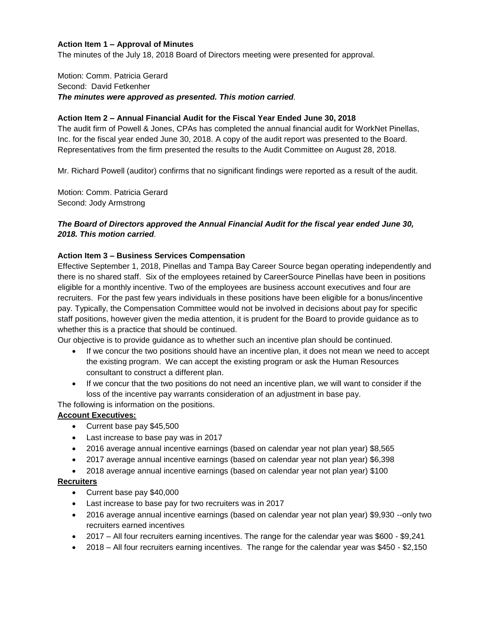#### **Action Item 1 – Approval of Minutes**

The minutes of the July 18, 2018 Board of Directors meeting were presented for approval.

#### Motion: Comm. Patricia Gerard Second: David Fetkenher *The minutes were approved as presented. This motion carried.*

#### **Action Item 2 – Annual Financial Audit for the Fiscal Year Ended June 30, 2018**

The audit firm of Powell & Jones, CPAs has completed the annual financial audit for WorkNet Pinellas, Inc. for the fiscal year ended June 30, 2018. A copy of the audit report was presented to the Board. Representatives from the firm presented the results to the Audit Committee on August 28, 2018.

Mr. Richard Powell (auditor) confirms that no significant findings were reported as a result of the audit.

Motion: Comm. Patricia Gerard Second: Jody Armstrong

## *The Board of Directors approved the Annual Financial Audit for the fiscal year ended June 30, 2018. This motion carried.*

#### **Action Item 3 – Business Services Compensation**

Effective September 1, 2018, Pinellas and Tampa Bay Career Source began operating independently and there is no shared staff. Six of the employees retained by CareerSource Pinellas have been in positions eligible for a monthly incentive. Two of the employees are business account executives and four are recruiters. For the past few years individuals in these positions have been eligible for a bonus/incentive pay. Typically, the Compensation Committee would not be involved in decisions about pay for specific staff positions, however given the media attention, it is prudent for the Board to provide guidance as to whether this is a practice that should be continued.

Our objective is to provide guidance as to whether such an incentive plan should be continued.

- If we concur the two positions should have an incentive plan, it does not mean we need to accept the existing program. We can accept the existing program or ask the Human Resources consultant to construct a different plan.
- If we concur that the two positions do not need an incentive plan, we will want to consider if the loss of the incentive pay warrants consideration of an adjustment in base pay.

The following is information on the positions.

#### **Account Executives:**

- Current base pay \$45,500
- Last increase to base pay was in 2017
- 2016 average annual incentive earnings (based on calendar year not plan year) \$8,565
- 2017 average annual incentive earnings (based on calendar year not plan year) \$6,398
- 2018 average annual incentive earnings (based on calendar year not plan year) \$100

#### **Recruiters**

- Current base pay \$40,000
- Last increase to base pay for two recruiters was in 2017
- 2016 average annual incentive earnings (based on calendar year not plan year) \$9,930 --only two recruiters earned incentives
- 2017 All four recruiters earning incentives. The range for the calendar year was \$600 \$9,241
- 2018 All four recruiters earning incentives. The range for the calendar year was \$450 \$2,150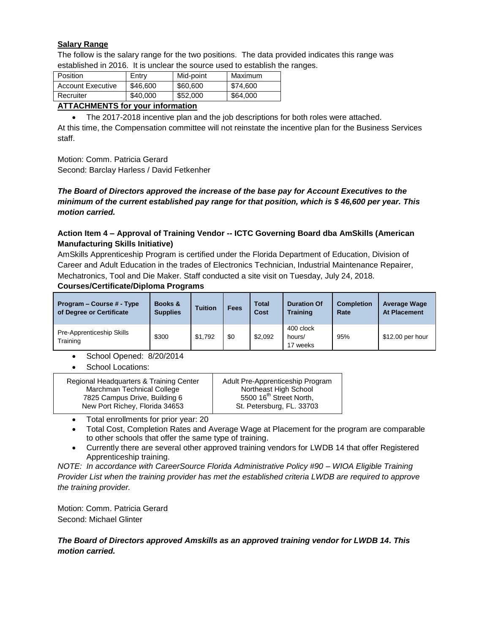## **Salary Range**

The follow is the salary range for the two positions. The data provided indicates this range was established in 2016. It is unclear the source used to establish the ranges.

| Position                 | Entry    | Mid-point | Maximum  |
|--------------------------|----------|-----------|----------|
| <b>Account Executive</b> | \$46,600 | \$60,600  | \$74,600 |
| Recruiter                | \$40,000 | \$52,000  | \$64,000 |

## **ATTACHMENTS for your information**

 The 2017-2018 incentive plan and the job descriptions for both roles were attached. At this time, the Compensation committee will not reinstate the incentive plan for the Business Services staff.

Motion: Comm. Patricia Gerard

Second: Barclay Harless / David Fetkenher

## *The Board of Directors approved the increase of the base pay for Account Executives to the minimum of the current established pay range for that position, which is \$ 46,600 per year. This motion carried.*

## **Action Item 4 – Approval of Training Vendor -- ICTC Governing Board dba AmSkills (American Manufacturing Skills Initiative)**

AmSkills Apprenticeship Program is certified under the Florida Department of Education, Division of Career and Adult Education in the trades of Electronics Technician, Industrial Maintenance Repairer, Mechatronics, Tool and Die Maker. Staff conducted a site visit on Tuesday, July 24, 2018.

## **Courses/Certificate/Diploma Programs**

| Program – Course # - Type<br>of Degree or Certificate | <b>Books &amp;</b><br><b>Supplies</b> | <b>Tuition</b> | <b>Fees</b> | <b>Total</b><br>Cost | <b>Duration Of</b><br><b>Training</b> | <b>Completion</b><br>Rate | <b>Average Wage</b><br><b>At Placement</b> |
|-------------------------------------------------------|---------------------------------------|----------------|-------------|----------------------|---------------------------------------|---------------------------|--------------------------------------------|
| Pre-Apprenticeship Skills<br>Training                 | \$300                                 | \$1,792        | \$0         | \$2,092              | 400 clock<br>hours/<br>17 weeks       | 95%                       | \$12.00 per hour                           |

- School Opened: 8/20/2014
- School Locations:

| Regional Headquarters & Training Center | Adult Pre-Apprenticeship Program    |
|-----------------------------------------|-------------------------------------|
| Marchman Technical College              | Northeast High School               |
| 7825 Campus Drive, Building 6           | 5500 16 <sup>th</sup> Street North, |
| New Port Richey, Florida 34653          | St. Petersburg, FL. 33703           |
|                                         |                                     |

- Total enrollments for prior year: 20
- Total Cost, Completion Rates and Average Wage at Placement for the program are comparable to other schools that offer the same type of training.

 Currently there are several other approved training vendors for LWDB 14 that offer Registered Apprenticeship training.

*NOTE: In accordance with CareerSource Florida Administrative Policy #90 – WIOA Eligible Training Provider List when the training provider has met the established criteria LWDB are required to approve the training provider.*

Motion: Comm. Patricia Gerard Second: Michael Glinter

## *The Board of Directors approved Amskills as an approved training vendor for LWDB 14. This motion carried.*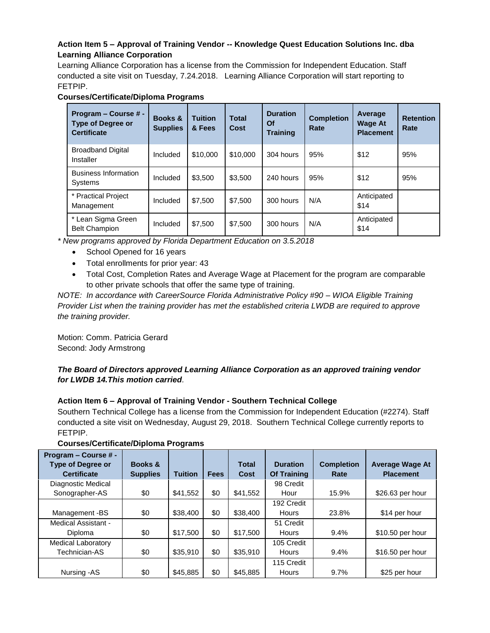## **Action Item 5 – Approval of Training Vendor -- Knowledge Quest Education Solutions Inc. dba Learning Alliance Corporation**

Learning Alliance Corporation has a license from the Commission for Independent Education. Staff conducted a site visit on Tuesday, 7.24.2018. Learning Alliance Corporation will start reporting to FETPIP.

| Program – Course # -<br><b>Type of Degree or</b><br><b>Certificate</b> | Books &<br><b>Supplies</b> | <b>Tuition</b><br>& Fees | <b>Total</b><br>Cost | <b>Duration</b><br><b>Of</b><br><b>Training</b> | <b>Completion</b><br>Rate | Average<br><b>Wage At</b><br><b>Placement</b> | <b>Retention</b><br>Rate |
|------------------------------------------------------------------------|----------------------------|--------------------------|----------------------|-------------------------------------------------|---------------------------|-----------------------------------------------|--------------------------|
| <b>Broadband Digital</b><br>Installer                                  | Included                   | \$10,000                 | \$10,000             | 304 hours                                       | 95%                       | \$12                                          | 95%                      |
| <b>Business Information</b><br>Systems                                 | Included                   | \$3.500                  | \$3,500              | 240 hours                                       | 95%                       | \$12                                          | 95%                      |
| * Practical Project<br>Management                                      | Included                   | \$7,500                  | \$7,500              | 300 hours                                       | N/A                       | Anticipated<br>\$14                           |                          |
| * Lean Sigma Green<br><b>Belt Champion</b>                             | Included                   | \$7,500                  | \$7,500              | 300 hours                                       | N/A                       | Anticipated<br>\$14                           |                          |

## **Courses/Certificate/Diploma Programs**

*\* New programs approved by Florida Department Education on 3.5.2018*

- School Opened for 16 years
- Total enrollments for prior year: 43
- Total Cost, Completion Rates and Average Wage at Placement for the program are comparable to other private schools that offer the same type of training.

*NOTE: In accordance with CareerSource Florida Administrative Policy #90 – WIOA Eligible Training Provider List when the training provider has met the established criteria LWDB are required to approve the training provider.*

Motion: Comm. Patricia Gerard Second: Jody Armstrong

## *The Board of Directors approved Learning Alliance Corporation as an approved training vendor for LWDB 14.This motion carried.*

## **Action Item 6 – Approval of Training Vendor - Southern Technical College**

Southern Technical College has a license from the Commission for Independent Education (#2274). Staff conducted a site visit on Wednesday, August 29, 2018. Southern Technical College currently reports to FETPIP.

| Program - Course # -<br><b>Type of Degree or</b><br><b>Certificate</b> | Books &<br><b>Supplies</b> | <b>Tuition</b> | <b>Fees</b> | <b>Total</b><br>Cost | <b>Duration</b><br><b>Of Training</b> | <b>Completion</b><br>Rate | <b>Average Wage At</b><br><b>Placement</b> |
|------------------------------------------------------------------------|----------------------------|----------------|-------------|----------------------|---------------------------------------|---------------------------|--------------------------------------------|
| Diagnostic Medical                                                     |                            |                |             |                      | 98 Credit                             |                           |                                            |
| Sonographer-AS                                                         | \$0                        | \$41,552       | \$0         | \$41,552             | Hour                                  | 15.9%                     | \$26.63 per hour                           |
|                                                                        |                            |                |             |                      | 192 Credit                            |                           |                                            |
| Management-BS                                                          | \$0                        | \$38,400       | \$0         | \$38,400             | <b>Hours</b>                          | 23.8%                     | \$14 per hour                              |
| Medical Assistant -                                                    |                            |                |             |                      | 51 Credit                             |                           |                                            |
| Diploma                                                                | \$0                        | \$17,500       | \$0         | \$17,500             | <b>Hours</b>                          | 9.4%                      | \$10.50 per hour                           |
| <b>Medical Laboratory</b>                                              |                            |                |             |                      | 105 Credit                            |                           |                                            |
| Technician-AS                                                          | \$0                        | \$35,910       | \$0         | \$35,910             | <b>Hours</b>                          | $9.4\%$                   | \$16.50 per hour                           |
|                                                                        |                            |                |             |                      | 115 Credit                            |                           |                                            |
| Nursing -AS                                                            | \$0                        | \$45,885       | \$0         | \$45,885             | <b>Hours</b>                          | 9.7%                      | \$25 per hour                              |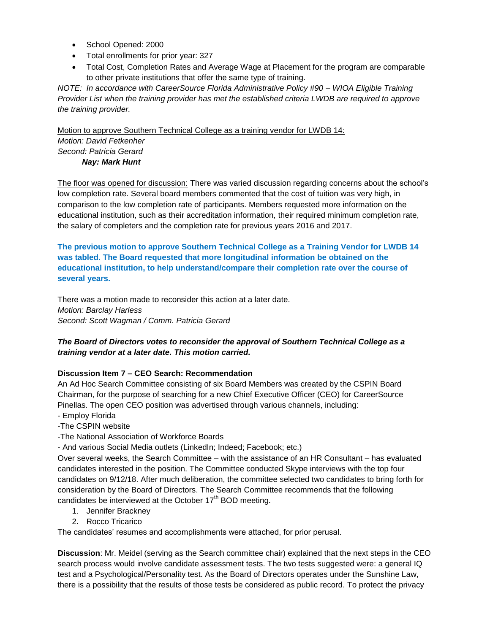- School Opened: 2000
- Total enrollments for prior year: 327
- Total Cost, Completion Rates and Average Wage at Placement for the program are comparable to other private institutions that offer the same type of training.

*NOTE: In accordance with CareerSource Florida Administrative Policy #90 – WIOA Eligible Training Provider List when the training provider has met the established criteria LWDB are required to approve the training provider.* 

Motion to approve Southern Technical College as a training vendor for LWDB 14: *Motion: David Fetkenher Second: Patricia Gerard Nay: Mark Hunt* 

The floor was opened for discussion: There was varied discussion regarding concerns about the school's low completion rate. Several board members commented that the cost of tuition was very high, in comparison to the low completion rate of participants. Members requested more information on the educational institution, such as their accreditation information, their required minimum completion rate, the salary of completers and the completion rate for previous years 2016 and 2017.

**The previous motion to approve Southern Technical College as a Training Vendor for LWDB 14 was tabled. The Board requested that more longitudinal information be obtained on the educational institution, to help understand/compare their completion rate over the course of several years.** 

There was a motion made to reconsider this action at a later date. *Motion: Barclay Harless Second: Scott Wagman / Comm. Patricia Gerard* 

## *The Board of Directors votes to reconsider the approval of Southern Technical College as a training vendor at a later date. This motion carried.*

## **Discussion Item 7 – CEO Search: Recommendation**

An Ad Hoc Search Committee consisting of six Board Members was created by the CSPIN Board Chairman, for the purpose of searching for a new Chief Executive Officer (CEO) for CareerSource Pinellas. The open CEO position was advertised through various channels, including:

- Employ Florida
- -The CSPIN website
- -The National Association of Workforce Boards
- And various Social Media outlets (LinkedIn; Indeed; Facebook; etc.)

Over several weeks, the Search Committee – with the assistance of an HR Consultant – has evaluated candidates interested in the position. The Committee conducted Skype interviews with the top four candidates on 9/12/18. After much deliberation, the committee selected two candidates to bring forth for consideration by the Board of Directors. The Search Committee recommends that the following candidates be interviewed at the October  $17<sup>th</sup>$  BOD meeting.

- 1. Jennifer Brackney
- 2. Rocco Tricarico

The candidates' resumes and accomplishments were attached, for prior perusal.

**Discussion**: Mr. Meidel (serving as the Search committee chair) explained that the next steps in the CEO search process would involve candidate assessment tests. The two tests suggested were: a general IQ test and a Psychological/Personality test. As the Board of Directors operates under the Sunshine Law, there is a possibility that the results of those tests be considered as public record. To protect the privacy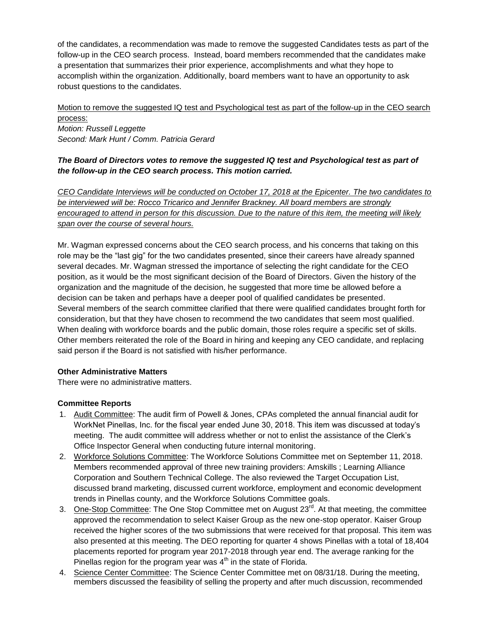of the candidates, a recommendation was made to remove the suggested Candidates tests as part of the follow-up in the CEO search process. Instead, board members recommended that the candidates make a presentation that summarizes their prior experience, accomplishments and what they hope to accomplish within the organization. Additionally, board members want to have an opportunity to ask robust questions to the candidates.

# Motion to remove the suggested IQ test and Psychological test as part of the follow-up in the CEO search process: *Motion: Russell Leggette*

*Second: Mark Hunt / Comm. Patricia Gerard* 

## *The Board of Directors votes to remove the suggested IQ test and Psychological test as part of the follow-up in the CEO search process. This motion carried.*

*CEO Candidate Interviews will be conducted on October 17, 2018 at the Epicenter. The two candidates to be interviewed will be: Rocco Tricarico and Jennifer Brackney. All board members are strongly encouraged to attend in person for this discussion. Due to the nature of this item, the meeting will likely span over the course of several hours.* 

Mr. Wagman expressed concerns about the CEO search process, and his concerns that taking on this role may be the "last gig" for the two candidates presented, since their careers have already spanned several decades. Mr. Wagman stressed the importance of selecting the right candidate for the CEO position, as it would be the most significant decision of the Board of Directors. Given the history of the organization and the magnitude of the decision, he suggested that more time be allowed before a decision can be taken and perhaps have a deeper pool of qualified candidates be presented. Several members of the search committee clarified that there were qualified candidates brought forth for consideration, but that they have chosen to recommend the two candidates that seem most qualified. When dealing with workforce boards and the public domain, those roles require a specific set of skills. Other members reiterated the role of the Board in hiring and keeping any CEO candidate, and replacing said person if the Board is not satisfied with his/her performance.

## **Other Administrative Matters**

There were no administrative matters.

## **Committee Reports**

- 1. Audit Committee: The audit firm of Powell & Jones, CPAs completed the annual financial audit for WorkNet Pinellas, Inc. for the fiscal year ended June 30, 2018. This item was discussed at today's meeting. The audit committee will address whether or not to enlist the assistance of the Clerk's Office Inspector General when conducting future internal monitoring.
- 2. Workforce Solutions Committee: The Workforce Solutions Committee met on September 11, 2018. Members recommended approval of three new training providers: Amskills ; Learning Alliance Corporation and Southern Technical College. The also reviewed the Target Occupation List, discussed brand marketing, discussed current workforce, employment and economic development trends in Pinellas county, and the Workforce Solutions Committee goals.
- 3. One-Stop Committee: The One Stop Committee met on August  $23<sup>rd</sup>$ . At that meeting, the committee approved the recommendation to select Kaiser Group as the new one-stop operator. Kaiser Group received the higher scores of the two submissions that were received for that proposal. This item was also presented at this meeting. The DEO reporting for quarter 4 shows Pinellas with a total of 18,404 placements reported for program year 2017-2018 through year end. The average ranking for the Pinellas region for the program year was  $4<sup>th</sup>$  in the state of Florida.
- 4. Science Center Committee: The Science Center Committee met on 08/31/18. During the meeting, members discussed the feasibility of selling the property and after much discussion, recommended